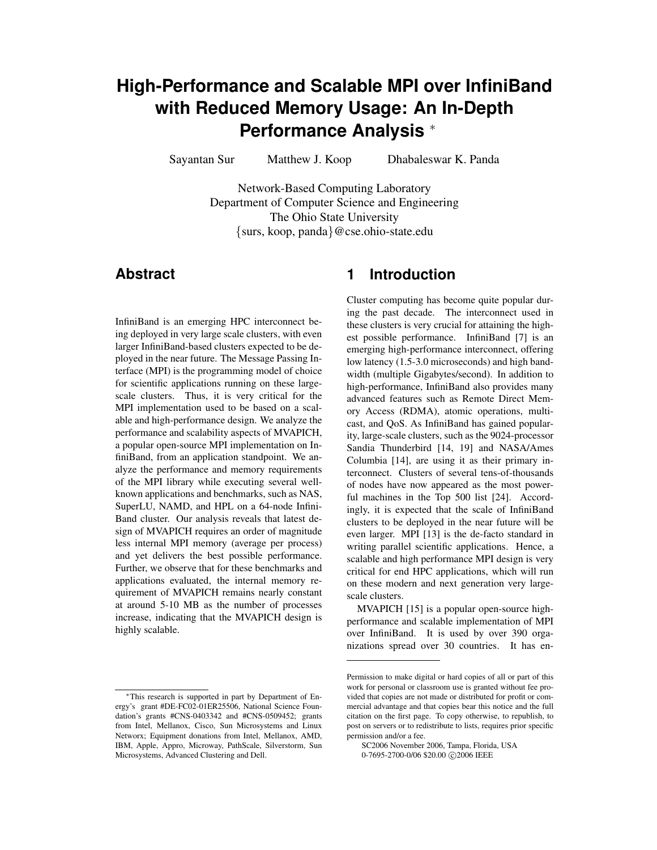# High-Performance and Scalable MPI over InfiniBand with Reduced Memory Usage: An In-Depth Performance Analysis<sup>\*</sup>

Sayantan Sur Matthew J. Koop Dhabaleswar K. Panda

Network-Based Computing Laboratory Department of Computer Science and Engineering The Ohio State University {surs, koop, panda}@cse.ohio-state.edu

# Abstract

InfiniBand is an emerging HPC interconnect being deployed in very large scale clusters, with even larger InfiniBand-based clusters expected to be deployed in the near future. The Message Passing Interface  $(MPI)$  is the programming model of choice for scientific applications running on these largescale clusters. Thus, it is very critical for the MPI implementation used to be based on a scalable and high-performance design. We analyze the performance and scalability aspects of MVAPICH, a popular open-source MPI implementation on InfiniBand, from an application standpoint. We analyze the performance and memory requirements of the MPI library while executing several wellknown applications and benchmarks, such as NAS, SuperLU, NAMD, and HPL on a 64-node Infini-Band cluster. Our analysis reveals that latest design of MVAPICH requires an order of magnitude less internal MPI memory (average per process) and yet delivers the best possible performance. Further, we observe that for these benchmarks and applications evaluated, the internal memory requirement of MVAPICH remains nearly constant at around 5-10 MB as the number of processes increase, indicating that the MVAPICH design is highly scalable.

# 1 Introduction

Cluster computing has become quite popular during the past decade. The interconnect used in these clusters is very crucial for attaining the highest possible performance. InfiniBand [7] is an emerging high-performance interconnect, offering low latency (1.5-3.0 microseconds) and high bandwidth (multiple Gigabytes/second). In addition to high-performance, InfiniBand also provides many advanced features such as Remote Direct Memory Access (RDMA), atomic operations, multicast, and QoS. As InfiniBand has gained popularity, large-scale clusters, such as the 9024-processor Sandia Thunderbird [14, 19] and NASA/Ames Columbia [14], are using it as their primary interconnect. Clusters of several tens-of-thousands of nodes have now appeared as the most powerful machines in the Top 500 list  $[24]$ . Accordingly, it is expected that the scale of InfiniBand clusters to be deployed in the near future will be even larger. MPI  $[13]$  is the de-facto standard in writing parallel scientific applications. Hence, a scalable and high performance MPI design is very critical for end HPC applications, which will run on these modern and next generation very largescale clusters.

 $M$ VAPICH [15] is a popular open-source highperformance and scalable implementation of MPI over InfiniBand. It is used by over 390 organizations spread over 30 countries. It has en-

<sup>\*</sup>This research is supported in part by Department of Energy's grant #DE-FC02-01ER25506, National Science Foundation's grants #CNS-0403342 and #CNS-0509452; grants from Intel, Mellanox, Cisco, Sun Microsystems and Linux Networx; Equipment donations from Intel, Mellanox, AMD, IBM, Apple, Appro, Microway, PathScale, Silverstorm, Sun Microsystems, Advanced Clustering and Dell.

Permission to make digital or hard copies of all or part of this work for personal or classroom use is granted without fee provided that copies are not made or distributed for profit or commercial advantage and that copies bear this notice and the full citation on the first page. To copy otherwise, to republish, to post on servers or to redistribute to lists, requires prior specific permission and/or a fee.

SC 2006 November 2006, Tampa, Florida, USA 0-7695-2700-0/06 \$20.00 ©2006 IEEE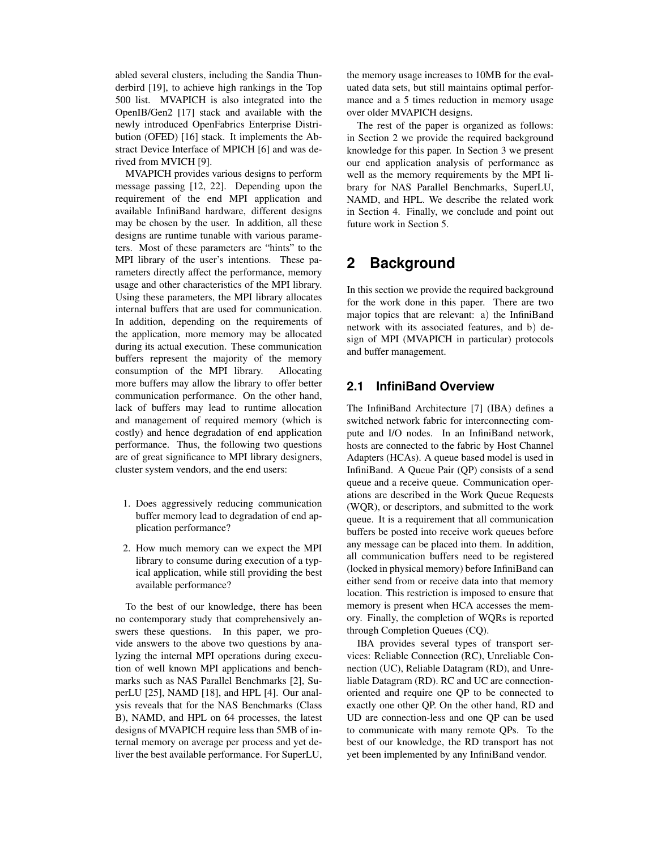abled several clusters, including the Sandia Thunderbird  $[19]$ , to achieve high rankings in the Top 500 list. MVAPICH is also integrated into the OpenIB/Gen2 [17] stack and available with the newly introduced OpenFabrics Enterprise Distribution (OFED) [16] stack. It implements the Abstract Device Interface of MPICH [6] and was derived from MVICH [9].

MVAPICH provides various designs to perform message passing  $[12, 22]$ . Depending upon the requirement of the end MPI application and available InfiniBand hardware, different designs may be chosen by the user. In addition, all these designs are runtime tunable with various parameters. Most of these parameters are "hints" to the MPI library of the user's intentions. These parameters directly affect the performance, memory usage and other characteristics of the MPI library. Using these parameters, the MPI library allocates internal buffers that are used for communication. In addition, depending on the requirements of the application, more memory may be allocated during its actual execution. These communication buffers represent the majority of the memory consumption of the MPI library. Allocating more buffers may allow the library to offer better communication performance. On the other hand, lack of buffers may lead to runtime allocation and management of required memory (which is costly) and hence degradation of end application performance. Thus, the following two questions are of great significance to MPI library designers, cluster system vendors, and the end users:

- 1. Does aggressively reducing communication buffer memory lead to degradation of end application performance?
- 2. How much memory can we expect the MPI library to consume during execution of a typical application, while still providing the best available performance?

To the best of our knowledge, there has been no contemporary study that comprehensively answers these questions. In this paper, we provide answers to the above two questions by analyzing the internal MPI operations during execution of well known MPI applications and benchmarks such as NAS Parallel Benchmarks [2], SuperLU  $[25]$ , NAMD  $[18]$ , and HPL  $[4]$ . Our analysis reveals that for the NAS Benchmarks (Class B), NAMD, and HPL on 64 processes, the latest designs of MVAPICH require less than 5MB of internal memory on average per process and yet deliver the best available performance. For SuperLU, the memory usage increases to 10MB for the evaluated data sets, but still maintains optimal performance and a 5 times reduction in memory usage over older MVAPICH designs.

The rest of the paper is organized as follows: in Section 2 we provide the required background knowledge for this paper. In Section 3 we present our end application analysis of performance as well as the memory requirements by the MPI library for NAS Parallel Benchmarks, SuperLU, NAMD, and HPL. We describe the related work in Section 4. Finally, we conclude and point out future work in Section 5.

# 2 Background

In this section we provide the required background for the work done in this paper. There are two major topics that are relevant: a) the InfiniBand network with its associated features, and b) design of MPI (MVAPICH in particular) protocols and buffer management.

# 2.1 InfiniBand Overview

The InfiniBand Architecture [7] (IBA) defines a switched network fabric for interconnecting compute and I/O nodes. In an InfiniBand network, hosts are connected to the fabric by Host Channel Adapters (HCAs). A queue based model is used in InfiniBand. A Queue Pair (QP) consists of a send queue and a receive queue. Communication operations are described in the Work Queue Requests  $(WQR)$ , or descriptors, and submitted to the work queue. It is a requirement that all communication buffers be posted into receive work queues before any message can be placed into them. In addition, all communication buffers need to be registered (locked in physical memory) before InfiniBand can either send from or receive data into that memory location. This restriction is imposed to ensure that memory is present when HCA accesses the memory. Finally, the completion of WQRs is reported through Completion Queues (CQ).

IBA provides several types of transport services: Reliable Connection (RC), Unreliable Connection (UC), Reliable Datagram (RD), and Unreliable Datagram (RD). RC and UC are connectionoriented and require one QP to be connected to exactly one other OP. On the other hand, RD and UD are connection-less and one QP can be used to communicate with many remote QPs. To the best of our knowledge, the RD transport has not yet been implemented by any InfiniBand vendor.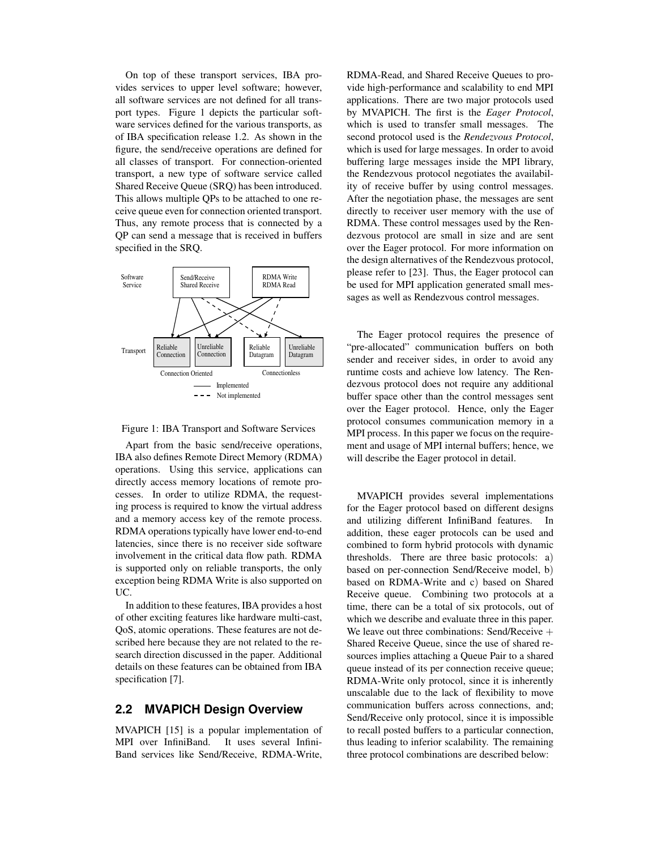On top of these transport services, IBA provides services to upper level software; however, all software services are not defined for all transport types. Figure 1 depicts the particular software services defined for the various transports, as of IBA specification release 1.2. As shown in the figure, the send/receive operations are defined for all classes of transport. For connection-oriented transport, a new type of software service called Shared Receive Queue (SRQ) has been introduced. This allows multiple QPs to be attached to one receive queue even for connection oriented transport. Thus, any remote process that is connected by a QP can send a message that is received in buffers specified in the SRQ.



Figure 1: IBA Transport and Software Services

Apart from the basic send/receive operations. IBA also defines Remote Direct Memory (RDMA) operations. Using this service, applications can directly access memory locations of remote processes. In order to utilize RDMA, the requesting process is required to know the virtual address and a memory access key of the remote process. RDMA operations typically have lower end-to-end latencies, since there is no receiver side software involvement in the critical data flow path. RDMA is supported only on reliable transports, the only exception being RDMA Write is also supported on UC.

In addition to these features, IBA provides a host of other exciting features like hardware multi-cast, QoS, atomic operations. These features are not described here because they are not related to the research direction discussed in the paper. Additional details on these features can be obtained from IBA specification [7].

#### **MVAPICH Design Overview**  $2.2$

MVAPICH [15] is a popular implementation of MPI over InfiniBand. It uses several Infini-Band services like Send/Receive, RDMA-Write,

RDMA-Read, and Shared Receive Queues to provide high-performance and scalability to end MPI applications. There are two major protocols used by MVAPICH. The first is the Eager Protocol, which is used to transfer small messages. The second protocol used is the Rendezvous Protocol, which is used for large messages. In order to avoid buffering large messages inside the MPI library, the Rendezvous protocol negotiates the availability of receive buffer by using control messages. After the negotiation phase, the messages are sent directly to receiver user memory with the use of RDMA. These control messages used by the Rendezvous protocol are small in size and are sent over the Eager protocol. For more information on the design alternatives of the Rendezvous protocol, please refer to [23]. Thus, the Eager protocol can be used for MPI application generated small messages as well as Rendezvous control messages.

The Eager protocol requires the presence of "pre-allocated" communication buffers on both sender and receiver sides, in order to avoid any runtime costs and achieve low latency. The Rendezvous protocol does not require any additional buffer space other than the control messages sent over the Eager protocol. Hence, only the Eager protocol consumes communication memory in a MPI process. In this paper we focus on the requirement and usage of MPI internal buffers; hence, we will describe the Eager protocol in detail.

MVAPICH provides several implementations for the Eager protocol based on different designs and utilizing different InfiniBand features. In addition, these eager protocols can be used and combined to form hybrid protocols with dynamic thresholds. There are three basic protocols: a) based on per-connection Send/Receive model, b) based on RDMA-Write and c) based on Shared Receive queue. Combining two protocols at a time, there can be a total of six protocols, out of which we describe and evaluate three in this paper. We leave out three combinations: Send/Receive  $+$ Shared Receive Queue, since the use of shared resources implies attaching a Queue Pair to a shared queue instead of its per connection receive queue; RDMA-Write only protocol, since it is inherently unscalable due to the lack of flexibility to move communication buffers across connections, and; Send/Receive only protocol, since it is impossible to recall posted buffers to a particular connection, thus leading to inferior scalability. The remaining three protocol combinations are described below: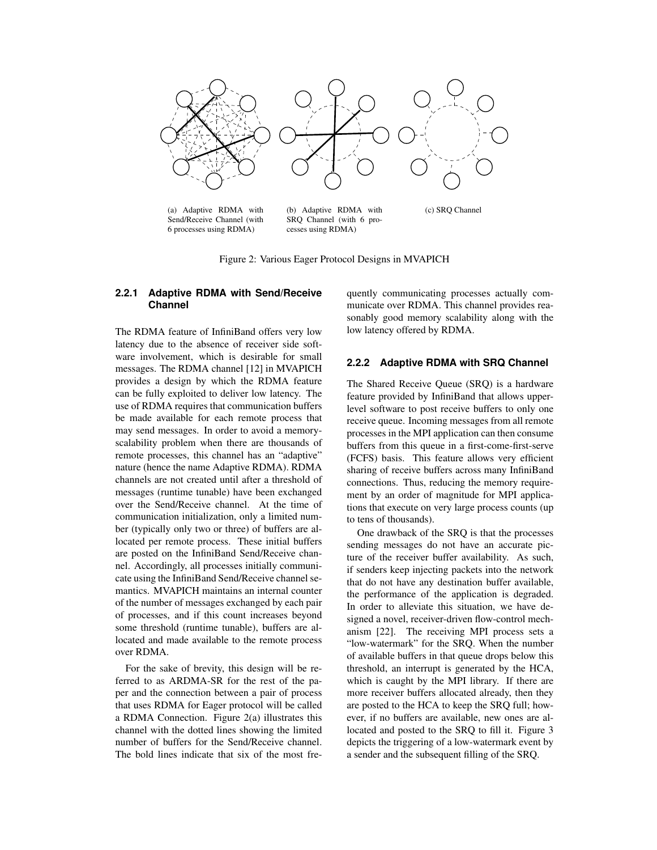

Figure 2: Various Eager Protocol Designs in MVAPICH

### 2.2.1 Adaptive RDMA with Send/Receive **Channel**

The RDMA feature of InfiniBand offers very low latency due to the absence of receiver side software involvement, which is desirable for small messages. The RDMA channel [12] in MVAPICH provides a design by which the RDMA feature can be fully exploited to deliver low latency. The use of RDMA requires that communication buffers be made available for each remote process that may send messages. In order to avoid a memoryscalability problem when there are thousands of remote processes, this channel has an "adaptive" nature (hence the name Adaptive RDMA). RDMA channels are not created until after a threshold of messages (runtime tunable) have been exchanged over the Send/Receive channel. At the time of communication initialization, only a limited number (typically only two or three) of buffers are allocated per remote process. These initial buffers are posted on the InfiniBand Send/Receive channel. Accordingly, all processes initially communicate using the InfiniBand Send/Receive channel semantics. MVAPICH maintains an internal counter of the number of messages exchanged by each pair of processes, and if this count increases beyond some threshold (runtime tunable), buffers are allocated and made available to the remote process over RDMA.

For the sake of brevity, this design will be referred to as ARDMA-SR for the rest of the paper and the connection between a pair of process that uses RDMA for Eager protocol will be called a RDMA Connection. Figure 2(a) illustrates this channel with the dotted lines showing the limited number of buffers for the Send/Receive channel. The bold lines indicate that six of the most frequently communicating processes actually communicate over RDMA. This channel provides reasonably good memory scalability along with the low latency offered by RDMA.

### 2.2.2 A daptive RDMA with SRQ Channel

The Shared Receive Queue (SRQ) is a hardware feature provided by InfiniBand that allows upperlevel software to post receive buffers to only one receive queue. In coming messages from all remote processes in the MPI application can then consume buffers from this queue in a first-come-first-serve (FCFS) basis. This feature allows very efficient sharing of receive buffers across many InfiniBand connections. Thus, reducing the memory requirement by an order of magnitude for MPI applications that execute on very large process counts (up to tens of thousands).

One drawback of the SRQ is that the processes sending messages do not have an accurate picture of the receiver buffer availability. As such, if senders keep injecting packets into the network that do not have any destination buffer available, the performance of the application is degraded. In order to alleviate this situation, we have designed a novel, receiver-driven flow-control mechanism [22]. The receiving MPI process sets a " low-watermark" for the SRQ. When the number of available buffers in that queue drops below this threshold, an interrupt is generated by the HCA, which is caught by the MPI library. If there are more receiver buffers allocated already, then they are posted to the HCA to keep the SRO full; however, if no buffers are available, new ones are allocated and posted to the SRQ to fill it. Figure 3 depicts the triggering of a low-watermark event by a sender and the subsequent filling of the SRQ.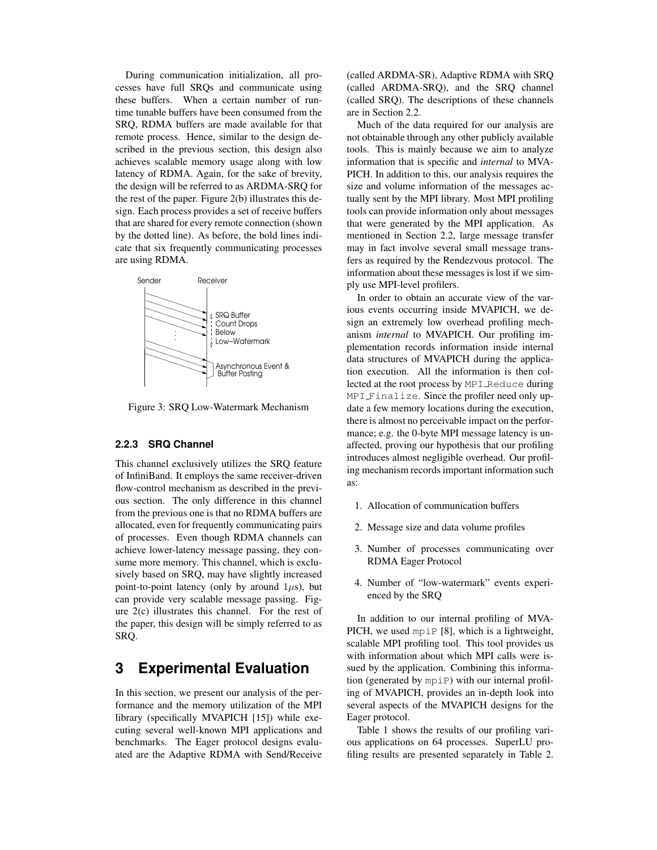During communication initialization, all processes have full SRQs and communicate using these buffers. When a certain number of runtime tunable buffers have been consumed from the SRQ, RDMA buffers are made available for that remote process. Hence, similar to the design described in the previous section, this design also achieves scalable memory usage along with low latency of RDMA. Again, for the sake of brevity, the design will be referred to as ARDMA-SRQ for the rest of the paper. Figure 2(b) illustrates this design. Each process provides a set of receive buffers that are shared for every remote connection (shown by the dotted line). As before, the bold lines indicate that six frequently communicating processes are using RDMA.



Figure 3: SRQ Low-Watermark Mechanism

### 2.2.3 SRQ Channel

This channel exclusively utilizes the SRQ feature of InfiniBand. It employs the same receiver-driven flow-control mechanism as described in the previous section. The only difference in this channel from the previous one is that no RDMA buffers are allocated, even for frequently communicating pairs of processes. Even though RDMA channels can achieve lower-latency message passing, they consume more memory. This channel, which is exclusively based on SRQ, may have slightly increased point-to-point latency (only by around  $1\mu s$ ), but can provide very scalable message passing. Figure  $2(c)$  illustrates this channel. For the rest of the paper, this design will be simply referred to as SRO.

#### 3 **Experimental Evaluation**

In this section, we present our analysis of the performance and the memory utilization of the MPI library (specifically MVAPICH [15]) while executing several well-known MPI applications and benchmarks. The Eager protocol designs evaluated are the Adaptive RDMA with Send/Receive (called ARDMA-SR), Adaptive RDMA with SRQ (called ARDMA-SRQ), and the SRQ channel (called SRQ). The descriptions of these channels are in Section 2.2.

Much of the data required for our analysis are not obtainable through any other publicly available tools. This is mainly because we aim to analyze information that is specific and *internal* to MVA-PICH. In addition to this, our analysis requires the size and volume information of the messages actually sent by the MPI library. Most MPI profiling tools can provide information only about messages that were generated by the MPI application. As mentioned in Section 2.2, large message transfer may in fact involve several small message transfers as required by the Rendezvous protocol. The information about these messages is lost if we simply use MPI-level profilers.

In order to obtain an accurate view of the various events occurring inside MVAPICH, we design an extremely low overhead profiling mechanism *internal* to MVAPICH. Our profiling implementation records information inside internal data structures of MVAPICH during the application execution. All the information is then collected at the root process by MPI Reduce during MPI Finalize. Since the profiler need only update a few memory locations during the execution, there is almost no perceivable impact on the performance; e.g. the 0-byte MPI message latency is unaffected, proving our hypothesis that our profiling introduces almost negligible overhead. Our profiling mechanism records important information such as:

- 1. Allocation of communication buffers
- 2. Message size and data volume profiles
- 3. Number of processes communicating over RDMA Eager Protocol
- 4. Number of "low-watermark" events experienced by the SRQ

In addition to our internal profiling of MVA-PICH, we used mpiP [8], which is a lightweight, scalable MPI profiling tool. This tool provides us with information about which MPI calls were issued by the application. Combining this information (generated by mpiP) with our internal profiling of MVAPICH, provides an in-depth look into several aspects of the MVAPICH designs for the Eager protocol.

Table 1 shows the results of our profiling various applications on 64 processes. SuperLU profiling results are presented separately in Table 2.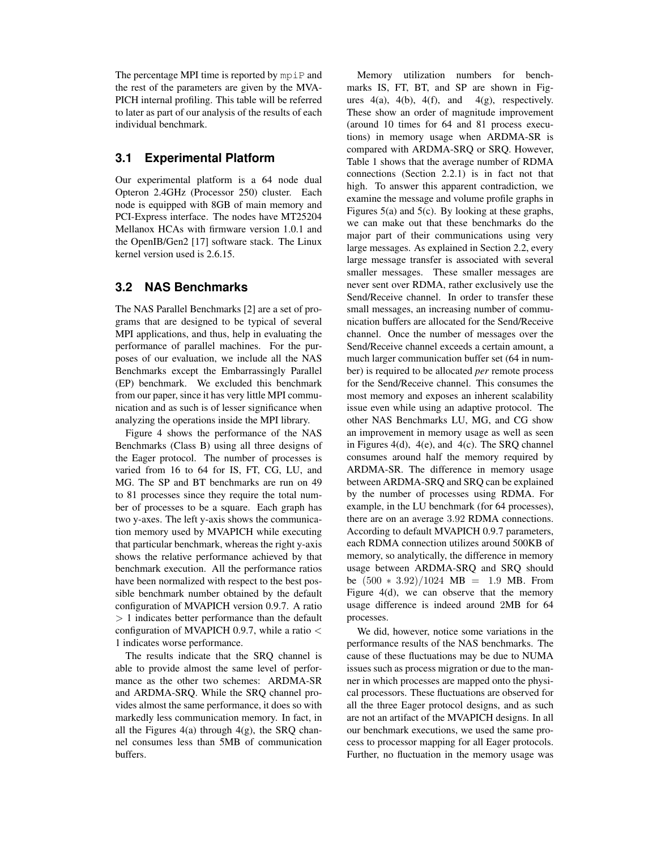The percentage MPI time is reported by mpiP and the rest of the parameters are given by the MVA-PICH internal profiling. This table will be referred to later as part of our analysis of the results of each individual benchmark.

#### $3.1$ **Experimental Platform**

Our experimental platform is a 64 node dual Opteron 2.4GHz (Processor 250) cluster. Each node is equipped with 8GB of main memory and PCI-Express interface. The nodes have MT25204 Mellanox HCAs with firmware version 1.0.1 and the OpenIB/Gen2 [17] software stack. The Linux kernel version used is 2.6.15.

### 3.2 NAS Benchmarks

The NAS Parallel Benchmarks [2] are a set of programs that are designed to be typical of several MPI applications, and thus, help in evaluating the performance of parallel machines. For the purposes of our evaluation, we include all the NAS Benchmarks except the Embarrassingly Parallel (EP) benchmark. We excluded this benchmark from our paper, since it has very little MPI communication and as such is of lesser significance when analyzing the operations inside the MPI library.

Figure 4 shows the performance of the NAS Benchmarks (Class B) using all three designs of the Eager protocol. The number of processes is varied from 16 to 64 for IS, FT, CG, LU, and MG. The SP and BT benchmarks are run on 49 to 81 processes since they require the total number of processes to be a square. Each graph has two y-axes. The left y-axis shows the communication memory used by MVAPICH while executing that particular benchmark, whereas the right y-axis shows the relative performance achieved by that benchmark execution. All the performance ratios have been normalized with respect to the best possible benchmark number obtained by the default configuration of MVAPICH version 0.9.7. A ratio  $> 1$  indicates better performance than the default configuration of MVAPICH 0.9.7, while a ratio < 1 indicates worse performance.

The results indicate that the SRQ channel is able to provide almost the same level of performance as the other two schemes: ARDMA-SR and ARDMA-SRQ. While the SRQ channel provides almost the same performance, it does so with markedly less communication memory. In fact, in all the Figures  $4(a)$  through  $4(g)$ , the SRQ channel consumes less than 5MB of communication buffers.

Memory utilization numbers for benchmarks IS, FT, BT, and SP are shown in Figures  $4(a)$ ,  $4(b)$ ,  $4(f)$ , and  $4(g)$ , respectively. These show an order of magnitude improvement (around 10 times for 64 and 81 process executions) in memory usage when ARDMA-SR is compared with ARDMA-SRQ or SRQ. However, Table 1 shows that the average number of RDMA connections (Section 2.2.1) is in fact not that high. To answer this apparent contradiction, we examine the message and volume profile graphs in Figures  $5(a)$  and  $5(c)$ . By looking at these graphs, we can make out that these benchmarks do the major part of their communications using very large messages. As explained in Section 2.2, every large message transfer is associated with several smaller messages. These smaller messages are never sent over RDMA, rather exclusively use the Send/Receive channel. In order to transfer these small messages, an increasing number of communication buffers are allocated for the Send/Receive channel. Once the number of messages over the Send/Receive channel exceeds a certain amount, a much larger communication buffer set (64 in number) is required to be allocated *per* remote process for the Send/Receive channel. This consumes the most memory and exposes an inherent scalability issue even while using an adaptive protocol. The other NAS Benchmarks LU, MG, and CG show an improvement in memory usage as well as seen in Figures  $4(d)$ ,  $4(e)$ , and  $4(c)$ . The SRQ channel consumes around half the memory required by ARDMA-SR. The difference in memory usage between ARDMA-SRQ and SRQ can be explained by the number of processes using RDMA. For example, in the LU benchmark (for 64 processes), there are on an average 3.92 RDMA connections. According to default MVAPICH 0.9.7 parameters, each RDMA connection utilizes around 500KB of memory, so analytically, the difference in memory usage between ARDMA-SRQ and SRQ should be  $(500 * 3.92)/1024$  MB = 1.9 MB. From Figure  $4(d)$ , we can observe that the memory usage difference is indeed around 2MB for 64 processes.

We did, however, notice some variations in the performance results of the NAS benchmarks. The cause of these fluctuations may be due to NUMA issues such as process migration or due to the manner in which processes are mapped onto the physical processors. These fluctuations are observed for all the three Eager protocol designs, and as such are not an artifact of the MVAPICH designs. In all our benchmark executions, we used the same process to processor mapping for all Eager protocols. Further, no fluctuation in the memory usage was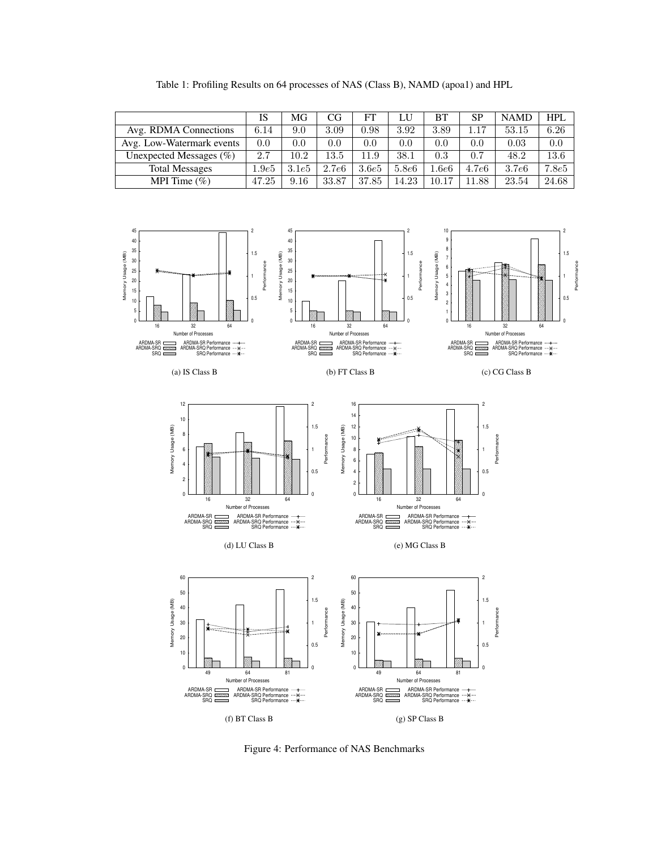Table 1: Profiling Results on 64 processes of NAS (Class B), NAMD (apoa1) and HPL



Figure 4: Performance of NAS Benchmarks

(g) SP Class B

(f) BT Class B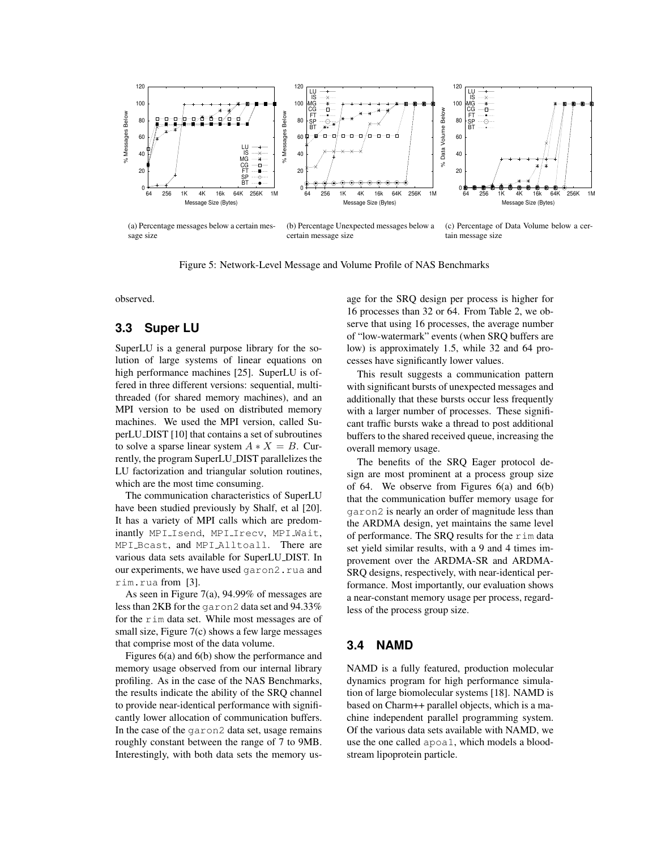

(a) Percentage messages below a certain message size

(b) Percentage Unexpected messages below a certain message size

(c) Percentage of Data Volume below a certain message size

Figure 5: Network-Level Message and Volume Profile of NAS Benchmarks

observed.

# 3.3 Super LU

SuperLU is a general purpose library for the solution of large systems of linear equations on high performance machines [25]. SuperLU is offered in three different versions: sequential, multithreaded (for shared memory machines), and an MPI version to be used on distributed memory machines. We used the MPI version, called SuperLU\_DIST [10] that contains a set of subroutines to solve a sparse linear system  $A * X = B$ . Currently, the program SuperLU\_DIST parallelizes the LU factorization and triangular solution routines, which are the most time consuming.

The communication characteristics of SuperLU have been studied previously by Shalf, et al [20]. It has a variety of MPI calls which are predominantly MPI Isend, MPI Irecv, MPI Wait, MPI Bcast, and MPI Alltoall. There are various data sets available for SuperLU DIST. In our experiments, we have used garon2.rua and rim.rua from [3].

As seen in Figure 7(a),  $94.99\%$  of messages are less than 2KB for the garon2 data set and  $94.33\%$ for the  $r$  im data set. While most messages are of small size, Figure  $7(c)$  shows a few large messages that comprise most of the data volume.

Figures  $6(a)$  and  $6(b)$  show the performance and memory usage observed from our internal library profiling. As in the case of the NAS Benchmarks, the results indicate the ability of the SRQ channel to provide near-identical performance with significantly lower allocation of communication buffers. In the case of the  $qarrow 2$  data set, usage remains roughly constant between the range of 7 to 9MB. Interestingly, with both data sets the memory usage for the SRQ design per process is higher for 16 processes than 32 or 64. From Table 2, we observe that using 16 processes, the average number of "low-watermark" events (when SRQ buffers are low) is approximately 1.5, while 32 and 64 processes have significantly lower values.

This result suggests a communication pattern with significant bursts of unexpected messages and additionally that these bursts occur less frequently with a larger number of processes. These significant traffic bursts wake a thread to post additional buffers to the shared received queue, increasing the overall memory usage.

The benefits of the SRQ Eager protocol design are most prominent at a process group size of 64. We observe from Figures  $6(a)$  and  $6(b)$ that the communication buffer memory usage for garon2 is nearly an order of magnitude less than the ARDMA design, yet maintains the same level of performance. The SRQ results for the  $r$  im data set yield similar results, with a 9 and 4 times improvement over the ARDMA-SR and ARDMA-SRQ designs, respectively, with near-identical performance. Most importantly, our evaluation shows a near-constant memory usage per process, regardless of the process group size.

### 3.4 NAMD

NAMD is a fully featured, production molecular dynamics program for high performance simulation of large biom olecular systems [18]. NAMD is based on Charm + + parallel objects, which is a machine independent parallel programming system. Of the various data sets available with NAMD, we use the one called apoa1, which models a bloodstream lipoprotein particle.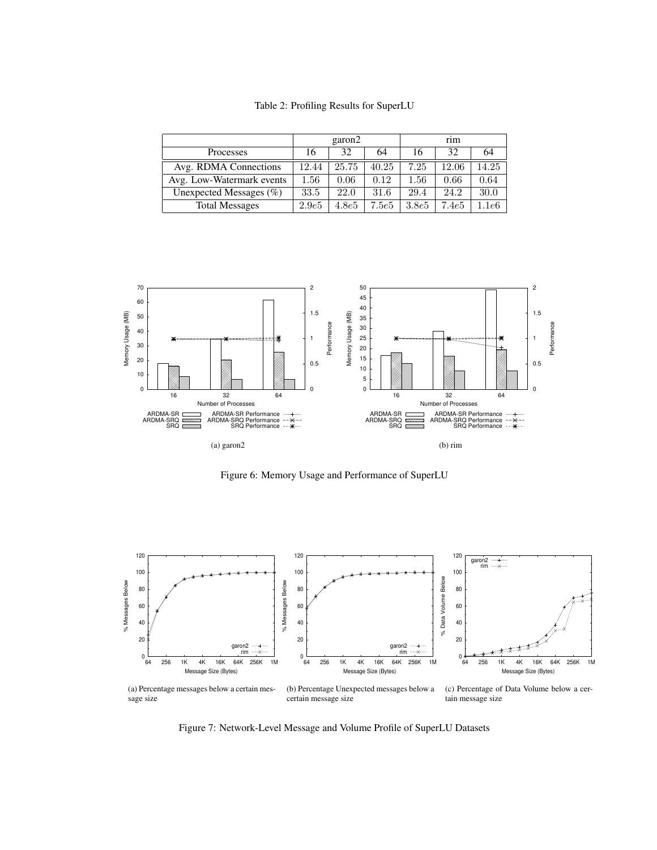|                            | garon2   |       |       | rım   |       |       |
|----------------------------|----------|-------|-------|-------|-------|-------|
| Processes                  | 16       | 32    | 64    | 16    | 32    | 64    |
| Avg. RDMA Connections      | 12.44    | 25.75 | 40.25 | 7.25  | 12.06 | 14.25 |
| Avg. Low-Watermark events  | $1.56\,$ | 0.06  | 0.12  | 1.56  | 0.66  | 0.64  |
| Unexpected Messages $(\%)$ | 33.5     | 22.0  | 31.6  | 29.4  | 24.2  | 30.0  |
| <b>Total Messages</b>      | 2.9e5    | 4.8e5 | 7.5e5 | 3.8e5 | 7.4e5 | 1.1e6 |

Table 2: Profiling Results for SuperLU



Figure 6: Memory Usage and Performance of SuperLU



Figure 7: Network-Level Message and Volume Profile of SuperLU Datasets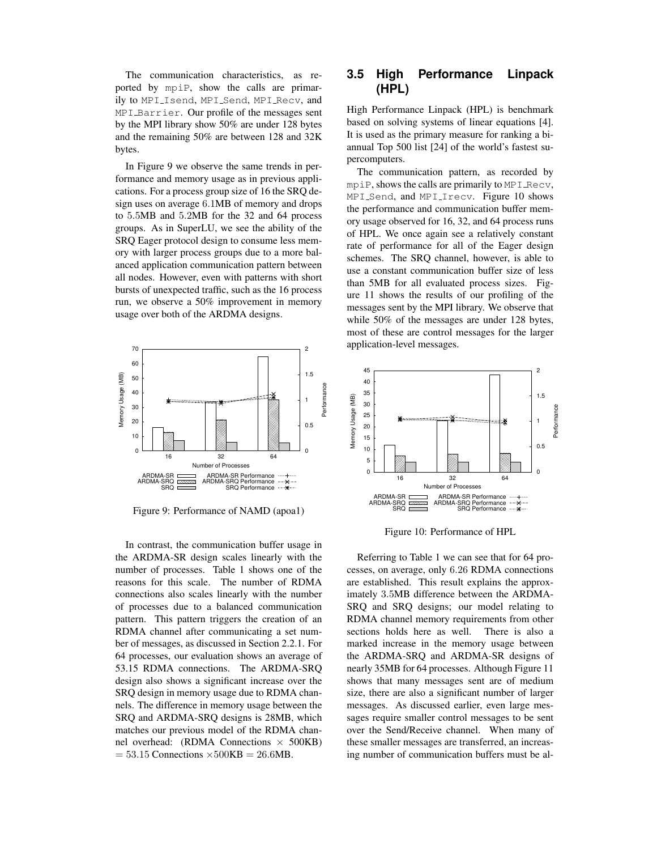The communication characteristics, as reported by mpiP, show the calls are primarily to MPI\_Isend, MPI\_Send, MPI\_Recv, and MPI Barrier. Our profile of the messages sent by the MPI library show 50% are under 128 bytes and the remaining 50% are between 128 and 32K bytes.

In Figure 9 we observe the same trends in performance and memory usage as in previous applications. For a process group size of 16 the SRQ design uses on average 6.1MB of memory and drops to 5.5MB and 5.2MB for the 32 and 64 process groups. As in SuperLU, we see the ability of the SRQ Eager protocol design to consume less memory with larger process groups due to a more balanced application communication pattern between all nodes. However, even with patterns with short bursts of unexpected traffic, such as the 16 process run, we observe a 50% improvement in memory usage over both of the ARDMA designs.



Figure 9: Performance of NAMD (apoa1)

In contrast, the communication buffer usage in the ARDMA-SR design scales linearly with the number of processes. Table 1 shows one of the reasons for this scale. The number of RDMA connections also scales linearly with the number of processes due to a balanced communication pattern. This pattern triggers the creation of an RDMA channel after communicating a set number of messages, as discussed in Section 2.2.1. For 64 processes, our evaluation shows an average of 53.15 RDMA connections. The ARDMA-SRQ design also shows a significant increase over the SRQ design in memory usage due to RDMA channels. The difference in memory usage between the SRQ and ARDMA-SRQ designs is 28MB, which matches our previous model of the RDMA channel overhead: (RDMA Connections  $\times$  500KB)  $= 53.15$  Connections  $\times 500KB = 26.6MB$ .

#### $3.5$ **High Performance** Linpack (HPL)

High Performance Linpack (HPL) is benchmark based on solving systems of linear equations [4]. It is used as the primary measure for ranking a biannual Top 500 list [24] of the world's fastest supercomputers.

The communication pattern, as recorded by mpiP, shows the calls are primarily to MPI\_Recv, MPI Send, and MPI Irecv. Figure 10 shows the performance and communication buffer memory usage observed for 16, 32, and 64 process runs of HPL. We once again see a relatively constant rate of performance for all of the Eager design schemes. The SRQ channel, however, is able to use a constant communication buffer size of less than 5MB for all evaluated process sizes. Figure 11 shows the results of our profiling of the messages sent by the MPI library. We observe that while 50% of the messages are under 128 bytes, most of these are control messages for the larger application-level messages.



Figure 10: Performance of HPL

Referring to Table 1 we can see that for 64 processes, on average, only 6.26 RDMA connections are established. This result explains the approximately 3.5MB difference between the ARDMA-SRQ and SRQ designs; our model relating to RDMA channel memory requirements from other sections holds here as well. There is also a marked increase in the memory usage between the ARDMA-SRQ and ARDMA-SR designs of nearly 35MB for 64 processes. Although Figure 11 shows that many messages sent are of medium size, there are also a significant number of larger messages. As discussed earlier, even large messages require smaller control messages to be sent over the Send/Receive channel. When many of these smaller messages are transferred, an increasing number of communication buffers must be al-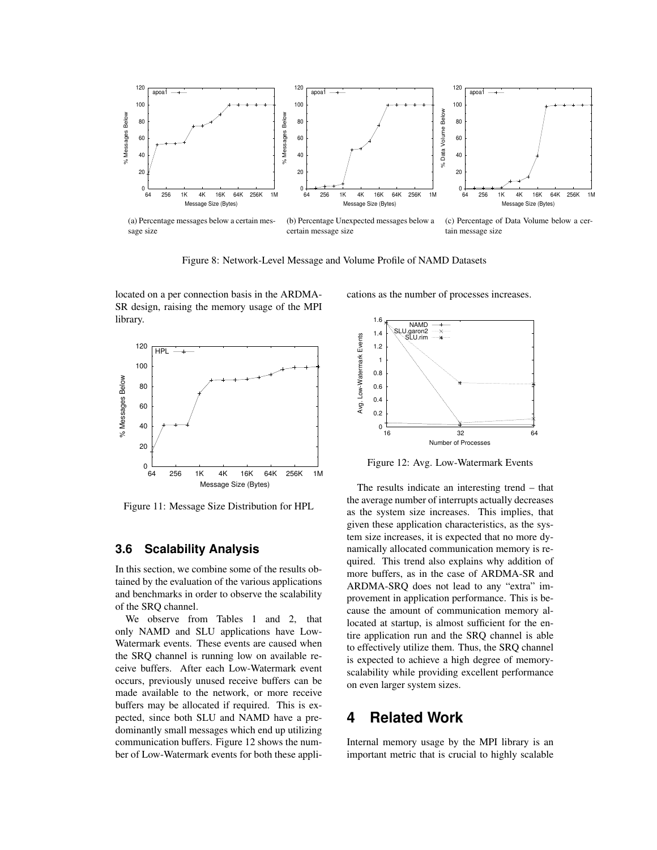

Figure 8: Network-Level Message and Volume Profile of NAMD Datasets

located on a per connection basis in the ARDMA-SR design, raising the memory usage of the MPI library.



Figure 11: Message Size Distribution for HPL

## 3.6 Scalability Analysis

In this section, we combine some of the results obtained by the evaluation of the various applications and benchmarks in order to observe the scalability of the SRO channel.

We observe from Tables 1 and 2, that only NAMD and SLU applications have Low-Watermark events. These events are caused when the SRQ channel is running low on available receive buffers. After each Low-Watermark event occurs, previously unused receive buffers can be made available to the network, or more receive buffers may be allocated if required. This is expected, since both SLU and NAMD have a predominantly small messages which end up utilizing communication buffers. Figure 12 shows the number of Low-Watermark events for both these applications as the number of processes increases.



Figure 12: Avg. Low-Watermark Events

The results indicate an interesting trend  $-$  that the average number of interrupts actually decreases as the system size increases. This implies, that given these application characteristics, as the system size increases, it is expected that no more dynamically allocated communication memory is required. This trend also explains why addition of more buffers, as in the case of ARDMA-SR and ARDMA-SRO does not lead to any "extra" improvement in application performance. This is because the amount of communication memory allocated at startup, is almost sufficient for the entire application run and the SRQ channel is able to effectively utilize them. Thus, the SRQ channel is expected to achieve a high degree of memoryscalability while providing excellent performance on even larger system sizes.

# 4 Related Work

Internal memory usage by the MPI library is an important metric that is crucial to highly scalable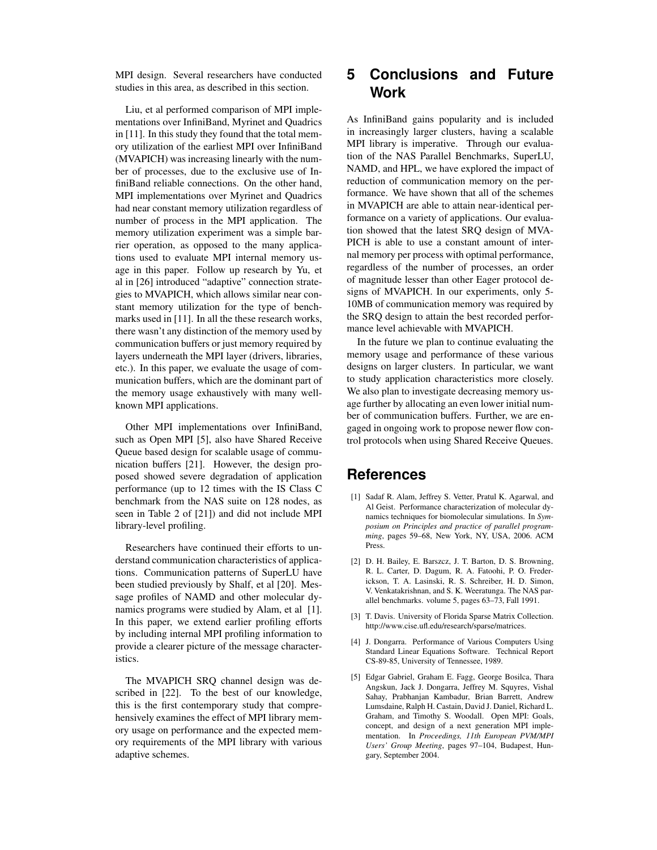MPI design. Several researchers have conducted studies in this area, as described in this section.

Liu, et al performed comparison of MPI implementations over InfiniBand, Myrinet and Quadrics in [11]. In this study they found that the total memory utilization of the earliest MPI over InfiniBand (MVAPICH) was increasing linearly with the number of processes, due to the exclusive use of InfiniBand reliable connections. On the other hand, MPI implementations over Myrinet and Quadrics had near constant memory utilization regardless of number of process in the MPI application. The memory utilization experiment was a simple barrier operation, as opposed to the many applications used to evaluate MPI internal memory usage in this paper. Follow up research by Yu, et al in [26] introduced "adaptive" connection strategies to MVAPICH, which allows similar near constant memory utilization for the type of benchmarks used in [11]. In all the these research works, there wasn't any distinction of the memory used by communication buffers or just memory required by layers underneath the MPI layer (drivers, libraries, etc.). In this paper, we evaluate the usage of communication buffers, which are the dominant part of the memory usage exhaustively with many wellknown MPI applications.

Other MPI implementations over InfiniBand, such as Open MPI [5], also have Shared Receive Queue based design for scalable usage of communication buffers [21]. However, the design proposed showed severe degradation of application performance (up to 12 times with the IS Class C benchmark from the NAS suite on 128 nodes, as seen in Table 2 of [21]) and did not include MPI library-level profiling.

Researchers have continued their efforts to understand communication characteristics of applications. Communication patterns of SuperLU have been studied previously by Shalf, et al [20]. Message profiles of NAMD and other molecular dynamics programs were studied by Alam, et al [1]. In this paper, we extend earlier profiling efforts by including internal MPI profiling information to provide a clearer picture of the message characteristics.

The MVAPICH SRQ channel design was described in [22]. To the best of our knowledge, this is the first contemporary study that comprehensively examines the effect of MPI library memory usage on performance and the expected memory requirements of the MPI library with various adaptive schemes.

### **Conclusions and Future** 5 Work

As InfiniBand gains popularity and is included in increasingly larger clusters, having a scalable MPI library is imperative. Through our evaluation of the NAS Parallel Benchmarks, SuperLU, NAMD, and HPL, we have explored the impact of reduction of communication memory on the performance. We have shown that all of the schemes in MVAPICH are able to attain near-identical performance on a variety of applications. Our evaluation showed that the latest SRQ design of MVA-PICH is able to use a constant amount of internal memory per process with optimal performance, regardless of the number of processes, an order of magnitude lesser than other Eager protocol designs of MVAPICH. In our experiments, only 5-10MB of communication memory was required by the SRQ design to attain the best recorded performance level achievable with MVAPICH.

In the future we plan to continue evaluating the memory usage and performance of these various designs on larger clusters. In particular, we want to study application characteristics more closely. We also plan to investigate decreasing memory usage further by allocating an even lower initial number of communication buffers. Further, we are engaged in ongoing work to propose newer flow control protocols when using Shared Receive Queues.

# **References**

- [1] Sadaf R. Alam, Jeffrey S. Vetter, Pratul K. Agarwal, and Al Geist. Performance characterization of molecular dynamics techniques for biomolecular simulations. In Symposium on Principles and practice of parallel programming, pages 59-68, New York, NY, USA, 2006. ACM Press.
- [2] D. H. Bailey, E. Barszcz, J. T. Barton, D. S. Browning, R. L. Carter, D. Dagum, R. A. Fatoohi, P. O. Frederickson, T. A. Lasinski, R. S. Schreiber, H. D. Simon, V. Venkatakrishnan, and S. K. Weeratunga. The NAS parallel benchmarks. volume 5, pages 63-73, Fall 1991.
- [3] T. Davis. University of Florida Sparse Matrix Collection. http://www.cise.ufl.edu/research/sparse/matrices.
- [4] J. Dongarra. Performance of Various Computers Using Standard Linear Equations Software. Technical Report CS-89-85, University of Tennessee, 1989.
- [5] Edgar Gabriel, Graham E. Fagg, George Bosilca, Thara Angskun, Jack J. Dongarra, Jeffrey M. Squyres, Vishal Sahay, Prabhanjan Kambadur, Brian Barrett, Andrew Lumsdaine, Ralph H. Castain, David J. Daniel, Richard L. Graham, and Timothy S. Woodall. Open MPI: Goals, concept, and design of a next generation MPI implementation. In Proceedings, 11th European PVM/MPI Users' Group Meeting, pages 97-104, Budapest, Hungary, September 2004.